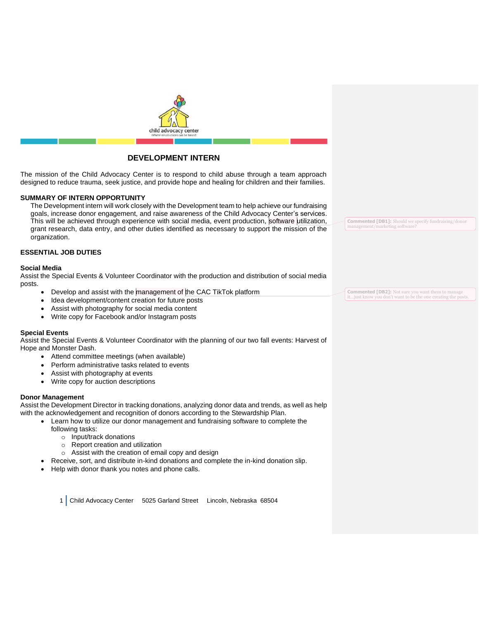

# **DEVELOPMENT INTERN**

The mission of the Child Advocacy Center is to respond to child abuse through a team approach designed to reduce trauma, seek justice, and provide hope and healing for children and their families.

# **SUMMARY OF INTERN OPPORTUNITY**

The Development intern will work closely with the Development team to help achieve our fundraising goals, increase donor engagement, and raise awareness of the Child Advocacy Center's services. This will be achieved through experience with social media, event production, software utilization, grant research, data entry, and other duties identified as necessary to support the mission of the organization.

# **ESSENTIAL JOB DUTIES**

## **Social Media**

Assist the Special Events & Volunteer Coordinator with the production and distribution of social media posts.

- Develop and assist with the management of the CAC TikTok platform
- Idea development/content creation for future posts
- Assist with photography for social media content
- Write copy for Facebook and/or Instagram posts

# **Special Events**

Assist the Special Events & Volunteer Coordinator with the planning of our two fall events: Harvest of Hope and Monster Dash.

- Attend committee meetings (when available)
- Perform administrative tasks related to events
- Assist with photography at events
- Write copy for auction descriptions

## **Donor Management**

Assist the Development Director in tracking donations, analyzing donor data and trends, as well as help with the acknowledgement and recognition of donors according to the Stewardship Plan.

- Learn how to utilize our donor management and fundraising software to complete the following tasks:
	- o Input/track donations
	- o Report creation and utilization
	- $\circ$  Assist with the creation of email copy and design
	- Receive, sort, and distribute in-kind donations and complete the in-kind donation slip.
	- Help with donor thank you notes and phone calls.

1 Child Advocacy Center 5025 Garland Street Lincoln, Nebraska 68504

**Commented [DB1]:** Should we specify fundraising/donor agement/marketing softw

**Commented [DB2]:** Not sure you want them to manage it...just know you don't want to be the one creating the posts.